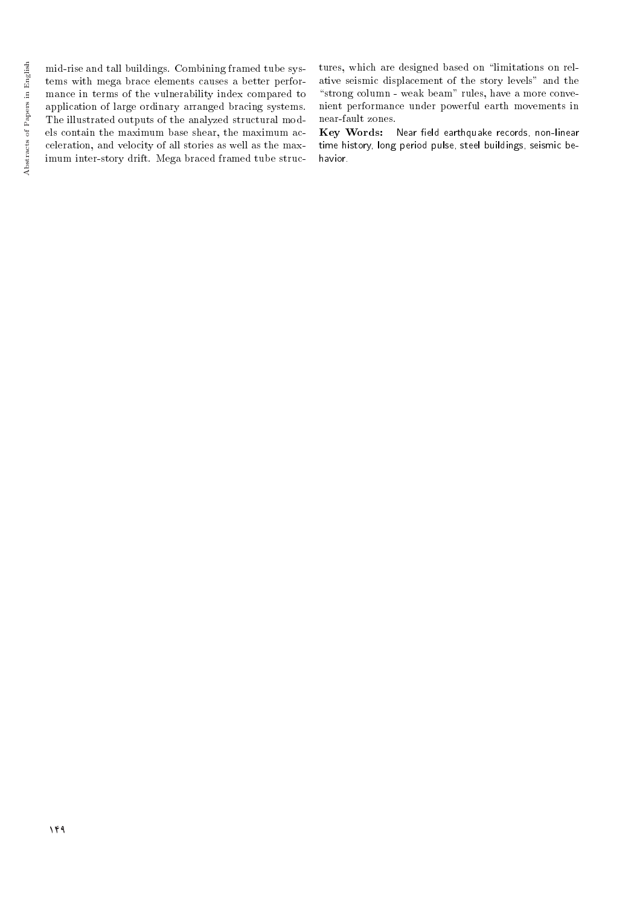mid-rise and tall buildings. Combining framed tube systems with mega brace elements causes a better performance in terms of the vulnerability index compared to application of large ordinary arranged bracing systems. The illustrated outputs of the analyzed structural models contain the maximum base shear, the maximum acceleration, and velocity of all stories as well as the maximum inter-story drift. Mega braced framed tube structures, which are designed based on "limitations on relative seismic displacement of the story levels" and the "strong column - weak beam" rules, have a more convenient performance under powerful earth movements in near-fault zones.

Key Words: Near field earthquake records, non-linear time history, long period pulse, steel buildings, seismic behavior.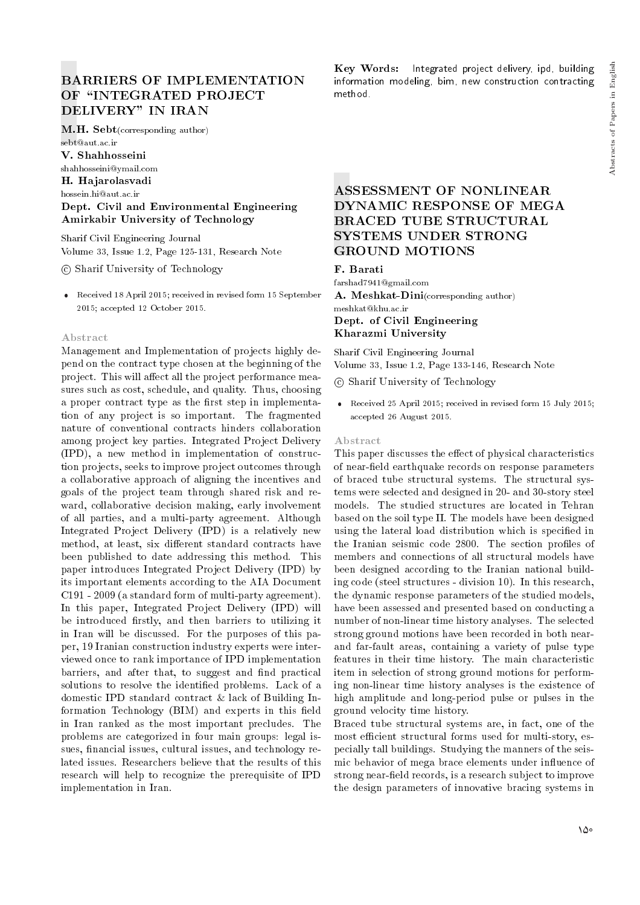# BARRIERS OF IMPLEMENTATION OF "INTEGRATED PROJECT DELIVERY" IN IRAN

M.H. Sebt(corresponding author) sebt@aut.ac.ir

V. Shahhosseini

shahhosseini@ymail.com

H. Hajarolasvadi

hossein.hi@aut.ac.ir

## Dept. Civil and Environmental Engineering Amirkabir University of Technology

Sharif Civil Engineering Journal Volume 33, Issue 1.2, Page 125-131, Research Note

c Sharif University of Technology

 Received 18 April 2015; received in revised form 15 September 2015; accepted 12 October 2015.

### Abstract

Management and Implementation of projects highly depend on the contract type chosen at the beginning of the project. This will affect all the project performance measures such as cost, schedule, and quality. Thus, choosing a proper contract type as the first step in implementation of any project is so important. The fragmented nature of conventional contracts hinders collaboration among project key parties. Integrated Project Delivery (IPD), a new method in implementation of construction projects, seeks to improve project outcomes through a collaborative approach of aligning the incentives and goals of the project team through shared risk and reward, collaborative decision making, early involvement of all parties, and a multi-party agreement. Although Integrated Project Delivery (IPD) is a relatively new method, at least, six different standard contracts have been published to date addressing this method. This paper introduces Integrated Project Delivery (IPD) by its important elements according to the AIA Document C191 - 2009 (a standard form of multi-party agreement). In this paper, Integrated Project Delivery (IPD) will be introduced firstly, and then barriers to utilizing it in Iran will be discussed. For the purposes of this paper, 19 Iranian construction industry experts were interviewed once to rank importance of IPD implementation barriers, and after that, to suggest and find practical solutions to resolve the identied problems. Lack of a domestic IPD standard contract & lack of Building Information Technology (BIM) and experts in this field in Iran ranked as the most important precludes. The problems are categorized in four main groups: legal issues, financial issues, cultural issues, and technology related issues. Researchers believe that the results of this research will help to recognize the prerequisite of IPD implementation in Iran.

Key Words: Integrated project delivery, ipd, building information modeling, bim, new construction contracting method.

# ASSESSMENT OF NONLINEAR DYNAMIC RESPONSE OF MEGA BRACED TUBE STRUCTURAL SYSTEMS UNDER STRONG GROUND MOTIONS

### F. Barati

farshad7941@gmail.com A. Meshkat-Dini(corresponding author) meshkat@khu.ac.ir Dept. of Civil Engineering Kharazmi University

Sharif Civil Engineering Journal Volume 33, Issue 1.2, Page 133-146, Research Note

- c Sharif University of Technology
- Received 25 April 2015; received in revised form 15 July 2015; accepted 26 August 2015.

#### Abstract

This paper discusses the effect of physical characteristics of near-field earthquake records on response parameters of braced tube structural systems. The structural systems were selected and designed in 20- and 30-story steel models. The studied structures are located in Tehran based on the soil type II. The models have been designed using the lateral load distribution which is specied in the Iranian seismic code 2800. The section profiles of members and connections of all structural models have been designed according to the Iranian national building code (steel structures - division 10). In this research, the dynamic response parameters of the studied models, have been assessed and presented based on conducting a number of non-linear time history analyses. The selected strong ground motions have been recorded in both nearand far-fault areas, containing a variety of pulse type features in their time history. The main characteristic item in selection of strong ground motions for performing non-linear time history analyses is the existence of high amplitude and long-period pulse or pulses in the ground velocity time history.

Braced tube structural systems are, in fact, one of the most efficient structural forms used for multi-story, especially tall buildings. Studying the manners of the seismic behavior of mega brace elements under influence of strong near-field records, is a research subject to improve the design parameters of innovative bracing systems in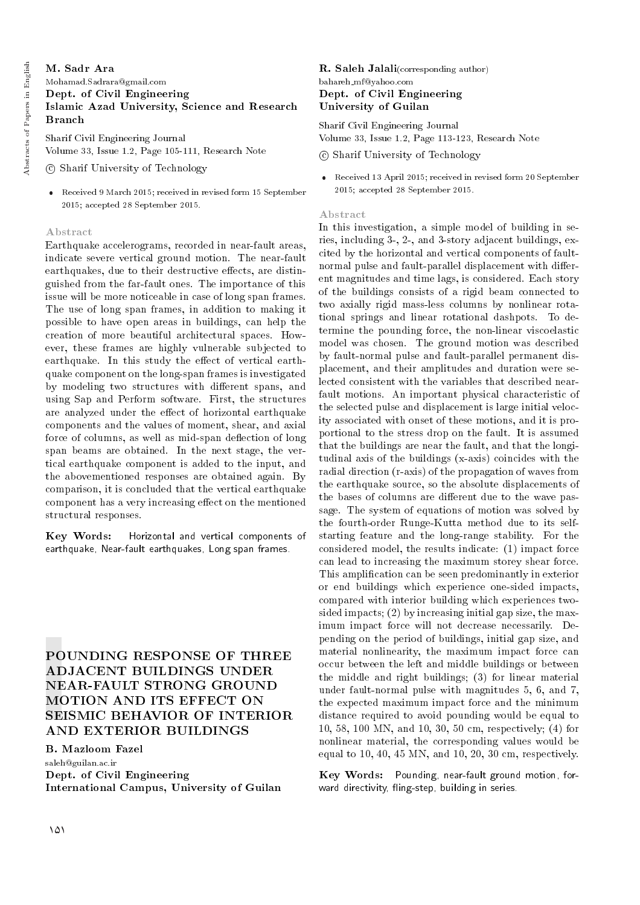## M. Sadr Ara Mohamad.Sadrara@gmail.com Dept. of Civil Engineering Islamic Azad University, Science and Research Branch

Sharif Civil Engineering Journal Volume 33, Issue 1.2, Page 105-111, Research Note

- c Sharif University of Technology
- Received 9 March 2015; received in revised form 15 September 2015; accepted 28 September 2015.

### Abstract

Earthquake accelerograms, recorded in near-fault areas, indicate severe vertical ground motion. The near-fault earthquakes, due to their destructive effects, are distinguished from the far-fault ones. The importance of this issue will be more noticeable in case of long span frames. The use of long span frames, in addition to making it possible to have open areas in buildings, can help the creation of more beautiful architectural spaces. However, these frames are highly vulnerable subjected to earthquake. In this study the effect of vertical earthquake component on the long-span frames is investigated by modeling two structures with different spans, and using Sap and Perform software. First, the structures are analyzed under the effect of horizontal earthquake components and the values of moment, shear, and axial force of columns, as well as mid-span deflection of long span beams are obtained. In the next stage, the vertical earthquake component is added to the input, and the abovementioned responses are obtained again. By comparison, it is concluded that the vertical earthquake component has a very increasing effect on the mentioned structural responses.

Key Words: Horizontal and vertical components of earthquake, Near-fault earthquakes, Long span frames.

# POUNDING RESPONSE OF THREE ADJACENT BUILDINGS UNDER NEAR-FAULT STRONG GROUND MOTION AND ITS EFFECT ON SEISMIC BEHAVIOR OF INTERIOR AND EXTERIOR BUILDINGS

## B. Mazloom Fazel

saleh@guilan.ac.ir Dept. of Civil Engineering International Campus, University of Guilan

R. Saleh Jalali(corresponding author) bahareh mf@yahoo.com Dept. of Civil Engineering University of Guilan

Sharif Civil Engineering Journal Volume 33, Issue 1.2, Page 113-123, Research Note

c Sharif University of Technology

 Received 13 April 2015; received in revised form 20 September 2015; accepted 28 September 2015.

#### Abstract

In this investigation, a simple model of building in series, including 3-, 2-, and 3-story adjacent buildings, excited by the horizontal and vertical components of faultnormal pulse and fault-parallel displacement with different magnitudes and time lags, is considered. Each story of the buildings consists of a rigid beam connected to two axially rigid mass-less columns by nonlinear rotational springs and linear rotational dashpots. To determine the pounding force, the non-linear viscoelastic model was chosen. The ground motion was described by fault-normal pulse and fault-parallel permanent displacement, and their amplitudes and duration were selected consistent with the variables that described nearfault motions. An important physical characteristic of the selected pulse and displacement is large initial velocity associated with onset of these motions, and it is proportional to the stress drop on the fault. It is assumed that the buildings are near the fault, and that the longitudinal axis of the buildings (x-axis) coincides with the radial direction (r-axis) of the propagation of waves from the earthquake source, so the absolute displacements of the bases of columns are different due to the wave passage. The system of equations of motion was solved by the fourth-order Runge-Kutta method due to its selfstarting feature and the long-range stability. For the considered model, the results indicate: (1) impact force can lead to increasing the maximum storey shear force. This amplication can be seen predominantly in exterior or end buildings which experience one-sided impacts, compared with interior building which experiences twosided impacts; (2) by increasing initial gap size, the maximum impact force will not decrease necessarily. Depending on the period of buildings, initial gap size, and material nonlinearity, the maximum impact force can occur between the left and middle buildings or between the middle and right buildings; (3) for linear material under fault-normal pulse with magnitudes 5, 6, and 7, the expected maximum impact force and the minimum distance required to avoid pounding would be equal to 10, 58, 100 MN, and 10, 30, 50 cm, respectively; (4) for nonlinear material, the corresponding values would be equal to 10, 40, 45 MN, and 10, 20, 30 cm, respectively.

Key Words: Pounding, near-fault ground motion, forward directivity, fling-step, building in series.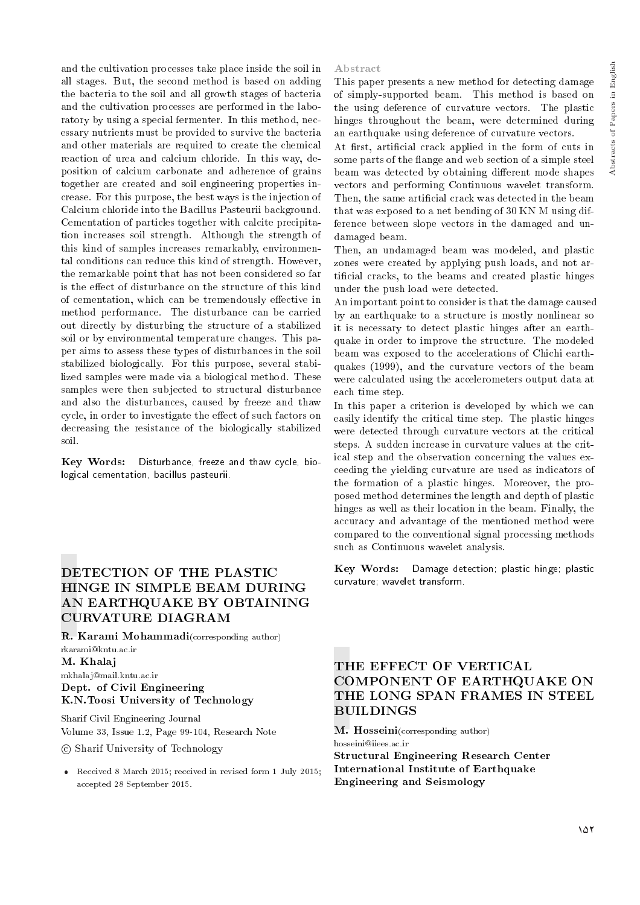and the cultivation processes take place inside the soil in all stages. But, the second method is based on adding the bacteria to the soil and all growth stages of bacteria and the cultivation processes are performed in the laboratory by using a special fermenter. In this method, necessary nutrients must be provided to survive the bacteria and other materials are required to create the chemical reaction of urea and calcium chloride. In this way, deposition of calcium carbonate and adherence of grains together are created and soil engineering properties increase. For this purpose, the best ways is the injection of Calcium chloride into the Bacillus Pasteurii background. Cementation of particles together with calcite precipitation increases soil strength. Although the strength of this kind of samples increases remarkably, environmental conditions can reduce this kind of strength. However, the remarkable point that has not been considered so far is the effect of disturbance on the structure of this kind of cementation, which can be tremendously effective in method performance. The disturbance can be carried out directly by disturbing the structure of a stabilized soil or by environmental temperature changes. This paper aims to assess these types of disturbances in the soil stabilized biologically. For this purpose, several stabilized samples were made via a biological method. These samples were then subjected to structural disturbance and also the disturbances, caused by freeze and thaw cycle, in order to investigate the effect of such factors on decreasing the resistance of the biologically stabilized soil.

Key Words: Disturbance, freeze and thaw cycle, biological cementation, bacillus pasteurii.

# DETECTION OF THE PLASTIC HINGE IN SIMPLE BEAM DURING AN EARTHQUAKE BY OBTAINING CURVATURE DIAGRAM

R. Karami Mohammadi(corresponding author) rkarami@kntu.ac.ir M. Khalaj mkhalaj@mail.kntu.ac.ir Dept. of Civil Engineering K.N.Toosi University of Technology

Sharif Civil Engineering Journal Volume 33, Issue 1.2, Page 99-104, Research Note

c Sharif University of Technology

 Received 8 March 2015; received in revised form 1 July 2015; accepted 28 September 2015.

#### Abstract

This paper presents a new method for detecting damage of simply-supported beam. This method is based on the using deference of curvature vectors. The plastic hinges throughout the beam, were determined during an earthquake using deference of curvature vectors.

At first, artificial crack applied in the form of cuts in some parts of the flange and web section of a simple steel beam was detected by obtaining different mode shapes vectors and performing Continuous wavelet transform. Then, the same artificial crack was detected in the beam that was exposed to a net bending of 30 KN M using difference between slope vectors in the damaged and undamaged beam.

Then, an undamaged beam was modeled, and plastic zones were created by applying push loads, and not articial cracks, to the beams and created plastic hinges under the push load were detected.

An important point to consider is that the damage caused by an earthquake to a structure is mostly nonlinear so it is necessary to detect plastic hinges after an earthquake in order to improve the structure. The modeled beam was exposed to the accelerations of Chichi earthquakes (1999), and the curvature vectors of the beam were calculated using the accelerometers output data at each time step.

In this paper a criterion is developed by which we can easily identify the critical time step. The plastic hinges were detected through curvature vectors at the critical steps. A sudden increase in curvature values at the critical step and the observation concerning the values exceeding the yielding curvature are used as indicators of the formation of a plastic hinges. Moreover, the proposed method determines the length and depth of plastic hinges as well as their location in the beam. Finally, the accuracy and advantage of the mentioned method were compared to the conventional signal processing methods such as Continuous wavelet analysis.

Key Words: Damage detection; plastic hinge; plastic curvature; wavelet transform.

# THE EFFECT OF VERTICAL COMPONENT OF EARTHQUAKE ON THE LONG SPAN FRAMES IN STEEL BUILDINGS

M. Hosseini(corresponding author) hosseini@iiees.ac.ir Structural Engineering Research Center International Institute of Earthquake Engineering and Seismology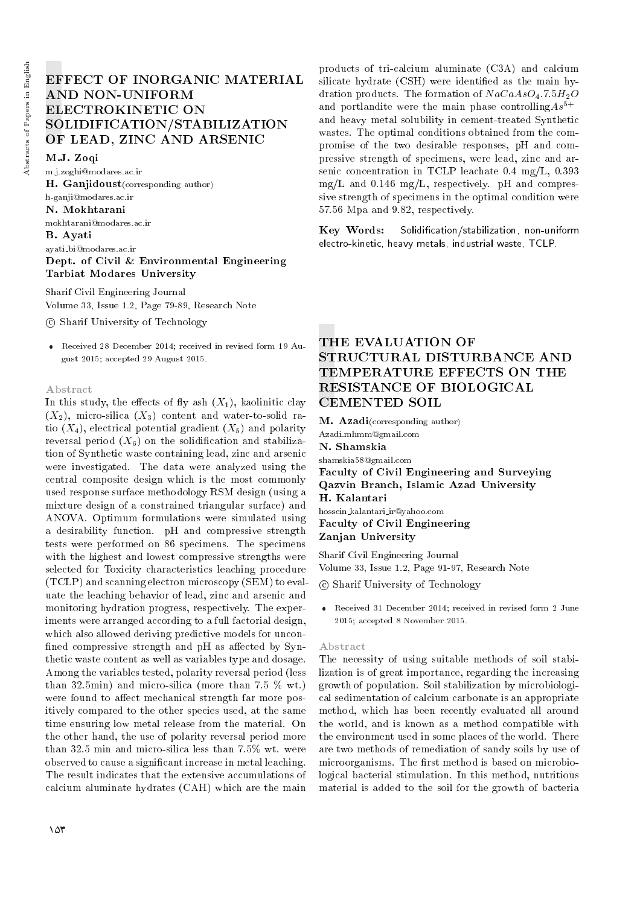# EFFECT OF INORGANIC MATERIAL AND NON-UNIFORM ELECTROKINETIC ON SOLIDIFICATION/STABILIZATION OF LEAD, ZINC AND ARSENIC

M.J. Zoqi

m.j.zoghi@modares.ac.ir H. Ganjidoust(corresponding author) h-ganji@modares.ac.ir N. Mokhtarani mokhtarani@modares.ac.ir B. Ayati ayati bi@modares.ac.ir Dept. of Civil & Environmental Engineering Tarbiat Modares University

Sharif Civil Engineering Journal Volume 33, Issue 1.2, Page 79-89, Research Note

c Sharif University of Technology

 Received 28 December 2014; received in revised form 19 August 2015; accepted 29 August 2015.

#### Abstract

In this study, the effects of fly ash  $(X_1)$ , kaolinitic clay  $(X_2)$ , micro-silica  $(X_3)$  content and water-to-solid ratio  $(X_4)$ , electrical potential gradient  $(X_5)$  and polarity reversal period  $(X_6)$  on the solidification and stabilization of Synthetic waste containing lead, zinc and arsenic were investigated. The data were analyzed using the central composite design which is the most commonly used response surface methodology RSM design (using a mixture design of a constrained triangular surface) and ANOVA. Optimum formulations were simulated using a desirability function. pH and compressive strength tests were performed on 86 specimens. The specimens with the highest and lowest compressive strengths were selected for Toxicity characteristics leaching procedure (TCLP) and scanning electron microscopy (SEM) to evaluate the leaching behavior of lead, zinc and arsenic and monitoring hydration progress, respectively. The experiments were arranged according to a full factorial design, which also allowed deriving predictive models for uncon fined compressive strength and pH as affected by Synthetic waste content as well as variables type and dosage. Among the variables tested, polarity reversal period (less than 32.5min) and micro-silica (more than 7.5 % wt.) were found to affect mechanical strength far more positively compared to the other species used, at the same time ensuring low metal release from the material. On the other hand, the use of polarity reversal period more than 32.5 min and micro-silica less than 7.5% wt. were observed to cause a signicant increase in metal leaching. The result indicates that the extensive accumulations of calcium aluminate hydrates (CAH) which are the main

products of tri-calcium aluminate (C3A) and calcium silicate hydrate (CSH) were identified as the main hydration products. The formation of  $NaCaAsO<sub>4</sub>$ .7.5 $H<sub>2</sub>O$ and portlandite were the main phase controlling  $As^{5+}$ and heavy metal solubility in cement-treated Synthetic wastes. The optimal conditions obtained from the compromise of the two desirable responses, pH and compressive strength of specimens, were lead, zinc and arsenic concentration in TCLP leachate 0.4 mg/L, 0.393  $mg/L$  and 0.146 mg/L, respectively. pH and compressive strength of specimens in the optimal condition were 57.56 Mpa and 9.82, respectively.

Key Words: Solidication/stabilization, non-uniform electro-kinetic, heavy metals, industrial waste, TCLP.

# THE EVALUATION OF STRUCTURAL DISTURBANCE AND TEMPERATURE EFFECTS ON THE RESISTANCE OF BIOLOGICAL CEMENTED SOIL

**M.** Azadi(corresponding author) Azadi.mhmm@gmail.com N. Shamskia shamskia58@gmail.com Faculty of Civil Engineering and Surveying Qazvin Branch, Islamic Azad University H. Kalantari hossein kalantari ir@yahoo.com

Faculty of Civil Engineering Zanjan University

Sharif Civil Engineering Journal Volume 33, Issue 1.2, Page 91-97, Research Note

c Sharif University of Technology

 Received 31 December 2014; received in revised form 2 June 2015; accepted 8 November 2015.

#### Abstract

The necessity of using suitable methods of soil stabilization is of great importance, regarding the increasing growth of population. Soil stabilization by microbiological sedimentation of calcium carbonate is an appropriate method, which has been recently evaluated all around the world, and is known as a method compatible with the environment used in some places of the world. There are two methods of remediation of sandy soils by use of microorganisms. The first method is based on microbiological bacterial stimulation. In this method, nutritious material is added to the soil for the growth of bacteria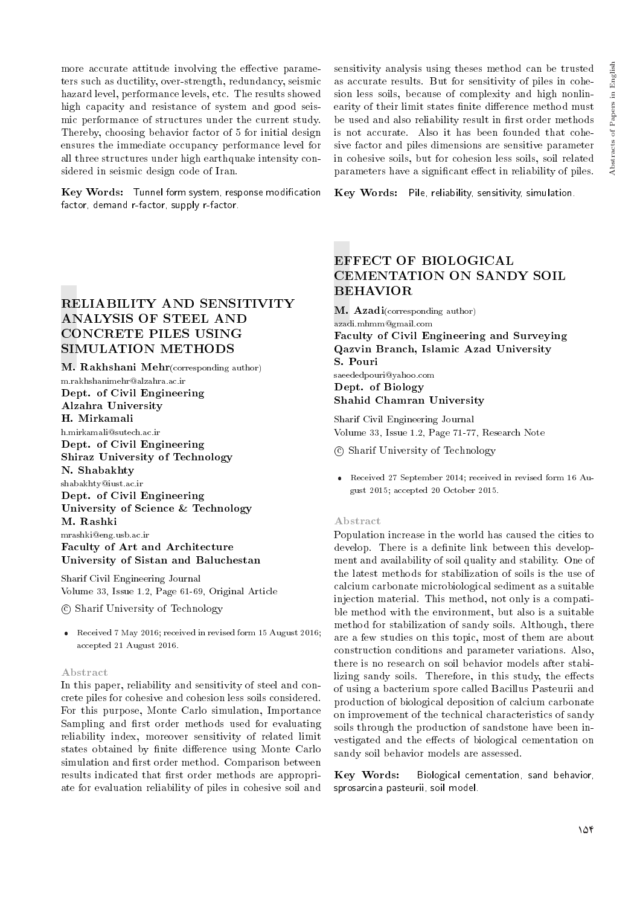more accurate attitude involving the effective parameters such as ductility, over-strength, redundancy, seismic hazard level, performance levels, etc. The results showed high capacity and resistance of system and good seismic performance of structures under the current study. Thereby, choosing behavior factor of 5 for initial design ensures the immediate occupancy performance level for all three structures under high earthquake intensity considered in seismic design code of Iran.

Key Words: Tunnel form system, response modification factor, demand r-factor, supply r-factor.

## RELIABILITY AND SENSITIVITY ANALYSIS OF STEEL AND CONCRETE PILES USING SIMULATION METHODS

M. Rakhshani Mehr(corresponding author) m.rakhshanimehr@alzahra.ac.ir Dept. of Civil Engineering Alzahra University H. Mirkamali h.mirkamali@sutech.ac.ir Dept. of Civil Engineering Shiraz University of Technology N. Shabakhty shabakhty@iust.ac.ir Dept. of Civil Engineering University of Science & Technology M. Rashki mrashki@eng.usb.ac.ir Faculty of Art and Architecture University of Sistan and Baluchestan

Sharif Civil Engineering Journal Volume 33, Issue 1.2, Page 61-69, Original Article

c Sharif University of Technology

 Received 7 May 2016; received in revised form 15 August 2016; accepted 21 August 2016.

#### Abstract

In this paper, reliability and sensitivity of steel and concrete piles for cohesive and cohesion less soils considered. For this purpose, Monte Carlo simulation, Importance Sampling and first order methods used for evaluating reliability index, moreover sensitivity of related limit states obtained by finite difference using Monte Carlo simulation and first order method. Comparison between results indicated that first order methods are appropriate for evaluation reliability of piles in cohesive soil and

sensitivity analysis using theses method can be trusted as accurate results. But for sensitivity of piles in cohesion less soils, because of complexity and high nonlinearity of their limit states finite difference method must be used and also reliability result in first order methods is not accurate. Also it has been founded that cohesive factor and piles dimensions are sensitive parameter in cohesive soils, but for cohesion less soils, soil related parameters have a significant effect in reliability of piles.

Key Words: Pile, reliability, sensitivity, simulation.

# EFFECT OF BIOLOGICAL CEMENTATION ON SANDY SOIL BEHAVIOR

M. Azadi(corresponding author) azadi.mhmm@gmail.com Faculty of Civil Engineering and Surveying Qazvin Branch, Islamic Azad University S. Pouri saeededpouri@yahoo.com

Dept. of Biology Shahid Chamran University

Sharif Civil Engineering Journal Volume 33, Issue 1.2, Page 71-77, Research Note

c Sharif University of Technology

 Received 27 September 2014; received in revised form 16 August 2015; accepted 20 October 2015.

#### Abstract

Population increase in the world has caused the cities to develop. There is a definite link between this development and availability of soil quality and stability. One of the latest methods for stabilization of soils is the use of calcium carbonate microbiological sediment as a suitable injection material. This method, not only is a compatible method with the environment, but also is a suitable method for stabilization of sandy soils. Although, there are a few studies on this topic, most of them are about construction conditions and parameter variations. Also, there is no research on soil behavior models after stabilizing sandy soils. Therefore, in this study, the effects of using a bacterium spore called Bacillus Pasteurii and production of biological deposition of calcium carbonate on improvement of the technical characteristics of sandy soils through the production of sandstone have been investigated and the effects of biological cementation on sandy soil behavior models are assessed.

Key Words: Biological cementation, sand behavior, sprosarcina pasteurii, soil model.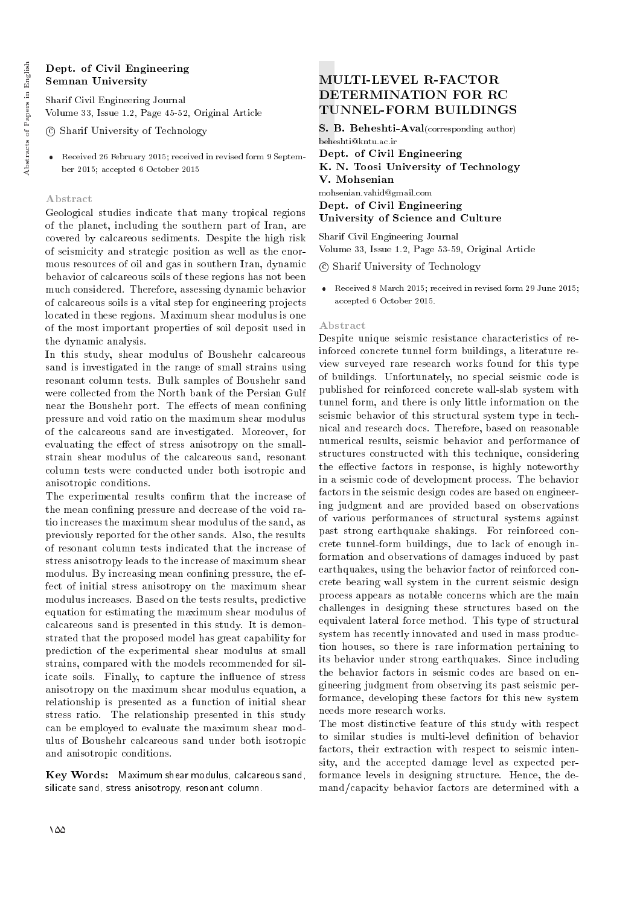## Dept. of Civil Engineering Semnan University

Sharif Civil Engineering Journal Volume 33, Issue 1.2, Page 45-52, Original Article

c Sharif University of Technology

 Received 26 February 2015; received in revised form 9 September 2015; accepted 6 October 2015

## Abstract

Geological studies indicate that many tropical regions of the planet, including the southern part of Iran, are covered by calcareous sediments. Despite the high risk of seismicity and strategic position as well as the enormous resources of oil and gas in southern Iran, dynamic behavior of calcareous soils of these regions has not been much considered. Therefore, assessing dynamic behavior of calcareous soils is a vital step for engineering projects located in these regions. Maximum shear modulus is one of the most important properties of soil deposit used in the dynamic analysis.

In this study, shear modulus of Boushehr calcareous sand is investigated in the range of small strains using resonant column tests. Bulk samples of Boushehr sand were collected from the North bank of the Persian Gulf near the Boushehr port. The effects of mean confining pressure and void ratio on the maximum shear modulus of the calcareous sand are investigated. Moreover, for evaluating the effect of stress anisotropy on the smallstrain shear modulus of the calcareous sand, resonant column tests were conducted under both isotropic and anisotropic conditions.

The experimental results confirm that the increase of the mean confining pressure and decrease of the void ratio increases the maximum shear modulus of the sand, as previously reported for the other sands. Also, the results of resonant column tests indicated that the increase of stress anisotropy leads to the increase of maximum shear modulus. By increasing mean confining pressure, the effect of initial stress anisotropy on the maximum shear modulus increases. Based on the tests results, predictive equation for estimating the maximum shear modulus of calcareous sand is presented in this study. It is demonstrated that the proposed model has great capability for prediction of the experimental shear modulus at small strains, compared with the models recommended for silicate soils. Finally, to capture the influence of stress anisotropy on the maximum shear modulus equation, a relationship is presented as a function of initial shear stress ratio. The relationship presented in this study can be employed to evaluate the maximum shear modulus of Boushehr calcareous sand under both isotropic and anisotropic conditions.

Key Words: Maximum shear modulus, calcareous sand, silicate sand, stress anisotropy, resonant column.

# MULTI-LEVEL R-FACTOR DETERMINATION FOR RC TUNNEL-FORM BUILDINGS

S. B. Beheshti-Aval(corresponding author) beheshti@kntu.ac.ir

Dept. of Civil Engineering K. N. Toosi University of Technology V. Mohsenian mohsenian.vahid@gmail.com Dept. of Civil Engineering University of Science and Culture

Sharif Civil Engineering Journal Volume 33, Issue 1.2, Page 53-59, Original Article

c Sharif University of Technology

 Received 8 March 2015; received in revised form 29 June 2015; accepted 6 October 2015.

#### Abstract

Despite unique seismic resistance characteristics of reinforced concrete tunnel form buildings, a literature review surveyed rare research works found for this type of buildings. Unfortunately, no special seismic code is published for reinforced concrete wall-slab system with tunnel form, and there is only little information on the seismic behavior of this structural system type in technical and research docs. Therefore, based on reasonable numerical results, seismic behavior and performance of structures constructed with this technique, considering the effective factors in response, is highly noteworthy in a seismic code of development process. The behavior factors in the seismic design codes are based on engineering judgment and are provided based on observations of various performances of structural systems against past strong earthquake shakings. For reinforced concrete tunnel-form buildings, due to lack of enough information and observations of damages induced by past earthquakes, using the behavior factor of reinforced concrete bearing wall system in the current seismic design process appears as notable concerns which are the main challenges in designing these structures based on the equivalent lateral force method. This type of structural system has recently innovated and used in mass production houses, so there is rare information pertaining to its behavior under strong earthquakes. Since including the behavior factors in seismic codes are based on engineering judgment from observing its past seismic performance, developing these factors for this new system needs more research works.

The most distinctive feature of this study with respect to similar studies is multi-level definition of behavior factors, their extraction with respect to seismic intensity, and the accepted damage level as expected performance levels in designing structure. Hence, the demand/capacity behavior factors are determined with a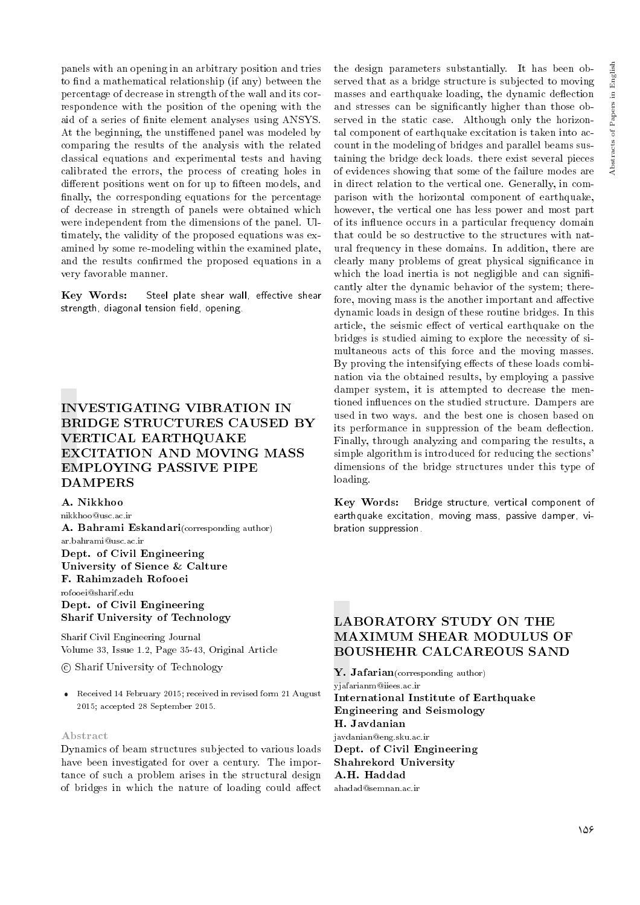panels with an opening in an arbitrary position and tries to find a mathematical relationship (if any) between the percentage of decrease in strength of the wall and its correspondence with the position of the opening with the aid of a series of finite element analyses using ANSYS. At the beginning, the unstiffened panel was modeled by comparing the results of the analysis with the related classical equations and experimental tests and having calibrated the errors, the process of creating holes in different positions went on for up to fifteen models, and finally, the corresponding equations for the percentage of decrease in strength of panels were obtained which were independent from the dimensions of the panel. Ultimately, the validity of the proposed equations was examined by some re-modeling within the examined plate, and the results confirmed the proposed equations in a very favorable manner.

Key Words: Steel plate shear wall, effective shear strength, diagonal tension field, opening.

# INVESTIGATING VIBRATION IN BRIDGE STRUCTURES CAUSED BY VERTICAL EARTHQUAKE EXCITATION AND MOVING MASS EMPLOYING PASSIVE PIPE DAMPERS

#### A. Nikkhoo

nikkhoo@usc.ac.ir

A. Bahrami Eskandari(corresponding author) ar.bahrami@usc.ac.ir Dept. of Civil Engineering University of Sience & Calture F. Rahimzadeh Rofooei rofooei@sharif.edu Dept. of Civil Engineering

Sharif University of Technology

Sharif Civil Engineering Journal Volume 33, Issue 1.2, Page 35-43, Original Article

c Sharif University of Technology

 Received 14 February 2015; received in revised form 21 August 2015; accepted 28 September 2015.

#### Abstract

Dynamics of beam structures subjected to various loads have been investigated for over a century. The importance of such a problem arises in the structural design of bridges in which the nature of loading could affect

the design parameters substantially. It has been observed that as a bridge structure is subjected to moving masses and earthquake loading, the dynamic deflection and stresses can be signicantly higher than those observed in the static case. Although only the horizontal component of earthquake excitation is taken into account in the modeling of bridges and parallel beams sustaining the bridge deck loads. there exist several pieces of evidences showing that some of the failure modes are in direct relation to the vertical one. Generally, in comparison with the horizontal component of earthquake, however, the vertical one has less power and most part of its in
uence occurs in a particular frequency domain that could be so destructive to the structures with natural frequency in these domains. In addition, there are clearly many problems of great physical signicance in which the load inertia is not negligible and can significantly alter the dynamic behavior of the system; therefore, moving mass is the another important and affective dynamic loads in design of these routine bridges. In this article, the seismic effect of vertical earthquake on the bridges is studied aiming to explore the necessity of simultaneous acts of this force and the moving masses. By proving the intensifying effects of these loads combination via the obtained results, by employing a passive damper system, it is attempted to decrease the mentioned in
uences on the studied structure. Dampers are used in two ways. and the best one is chosen based on its performance in suppression of the beam deflection. Finally, through analyzing and comparing the results, a simple algorithm is introduced for reducing the sections' dimensions of the bridge structures under this type of loading.

Key Words: Bridge structure, vertical component of earthquake excitation, moving mass, passive damper, vibration suppression.

## LABORATORY STUDY ON THE MAXIMUM SHEAR MODULUS OF BOUSHEHR CALCAREOUS SAND

Y. Jafarian(corresponding author) yjafarianm@iiees.ac.ir International Institute of Earthquake Engineering and Seismology H. Javdanian javdanian@eng.sku.ac.ir Dept. of Civil Engineering Shahrekord University A.H. Haddad ahadad@semnan.ac.ir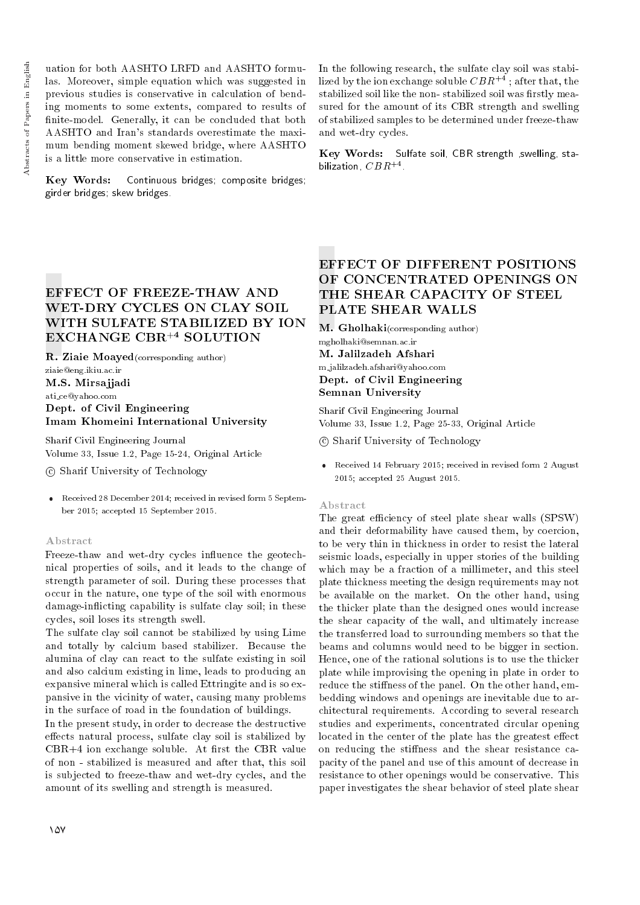uation for both AASHTO LRFD and AASHTO formulas. Moreover, simple equation which was suggested in previous studies is conservative in calculation of bending moments to some extents, compared to results of finite-model. Generally, it can be concluded that both AASHTO and Iran's standards overestimate the maximum bending moment skewed bridge, where AASHTO is a little more conservative in estimation.

Key Words: Continuous bridges; composite bridges; girder bridges; skew bridges.

In the following research, the sulfate clay soil was stabilized by the ion exchange soluble  $CBR^{+4}$ ; after that, the stabilized soil like the non-stabilized soil was firstly measured for the amount of its CBR strength and swelling of stabilized samples to be determined under freeze-thaw and wet-dry cycles.

Key Words: Sulfate soil, CBR strength ,swelling, stabilization,  $CBR^{+4}$  .

# EFFECT OF FREEZE-THAW AND WET-DRY CYCLES ON CLAY SOIL WITH SULFATE STABILIZED BY ION EXCHANGE CBR+4 SOLUTION

R. Ziaie Moayed(corresponding author) ziaie@eng.ikiu.ac.ir M.S. Mirsajjadi

ati ce@yahoo.com Dept. of Civil Engineering Imam Khomeini International University

Sharif Civil Engineering Journal Volume 33, Issue 1.2, Page 15-24, Original Article

c Sharif University of Technology

 Received 28 December 2014; received in revised form 5 September 2015; accepted 15 September 2015.

#### Abstract

Freeze-thaw and wet-dry cycles influence the geotechnical properties of soils, and it leads to the change of strength parameter of soil. During these processes that occur in the nature, one type of the soil with enormous damage-inflicting capability is sulfate clay soil; in these cycles, soil loses its strength swell.

The sulfate clay soil cannot be stabilized by using Lime and totally by calcium based stabilizer. Because the alumina of clay can react to the sulfate existing in soil and also calcium existing in lime, leads to producing an expansive mineral which is called Ettringite and is so expansive in the vicinity of water, causing many problems in the surface of road in the foundation of buildings.

In the present study, in order to decrease the destructive effects natural process, sulfate clay soil is stabilized by  $CBR+4$  ion exchange soluble. At first the CBR value of non - stabilized is measured and after that, this soil is subjected to freeze-thaw and wet-dry cycles, and the amount of its swelling and strength is measured.

# EFFECT OF DIFFERENT POSITIONS OF CONCENTRATED OPENINGS ON THE SHEAR CAPACITY OF STEEL PLATE SHEAR WALLS

M. Gholhaki(corresponding author) mgholhaki@semnan.ac.ir M. Jalilzadeh Afshari m jalilzadeh.afshari@yahoo.com Dept. of Civil Engineering Semnan University

Sharif Civil Engineering Journal Volume 33, Issue 1.2, Page 25-33, Original Article

c Sharif University of Technology

 Received 14 February 2015; received in revised form 2 August 2015; accepted 25 August 2015.

#### Abstract

The great efficiency of steel plate shear walls (SPSW) and their deformability have caused them, by coercion, to be very thin in thickness in order to resist the lateral seismic loads, especially in upper stories of the building which may be a fraction of a millimeter, and this steel plate thickness meeting the design requirements may not be available on the market. On the other hand, using the thicker plate than the designed ones would increase the shear capacity of the wall, and ultimately increase the transferred load to surrounding members so that the beams and columns would need to be bigger in section. Hence, one of the rational solutions is to use the thicker plate while improvising the opening in plate in order to reduce the stiffness of the panel. On the other hand, embedding windows and openings are inevitable due to architectural requirements. According to several research studies and experiments, concentrated circular opening located in the center of the plate has the greatest effect on reducing the stiffness and the shear resistance capacity of the panel and use of this amount of decrease in resistance to other openings would be conservative. This paper investigates the shear behavior of steel plate shear